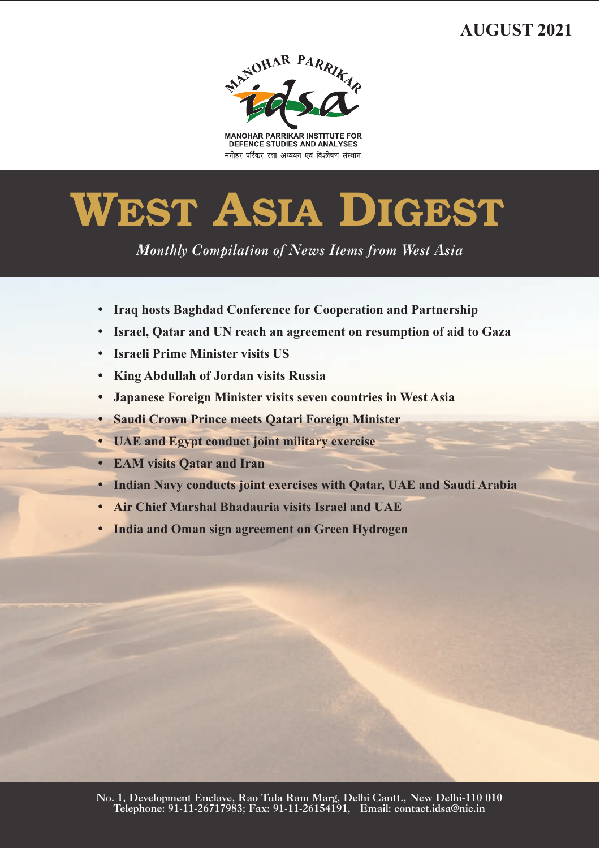## **AUGUST 2021**



**MANOHAR PARRIKAR INSTITUTE FOR** DEFENCE STUDIES AND ANALYSES मनोहर पर्रिकर रक्षा अध्ययन एवं विश्लेषण संस्थान

# **WEST ASIA DIGEST**

*Monthly Compilation of News Items from West Asia* 

- 
- ??**Iraq hosts Baghdad Conference for Cooperation and Partnership** ?**Israel, Qatar and UN reach an agreement on resumption of aid to Gaza**
- 
- ?**Israeli Prime Minister visits US**
- ?**King Abdullah of Jordan visits Russia**
- ?**Japanese Foreign Minister visits seven countries in West Asia** ?**Saudi Crown Prince meets Qatari Foreign Minister**
- ?**UAE and Egypt conduct joint military exercise**
- 
- ?**EAM visits Qatar and Iran** ?**Indian Navy conducts joint exercises with Qatar, UAE and Saudi Arabia**
- 
- ?**Air Chief Marshal Bhadauria visits Israel and UAE India and Oman sign agreement on Green Hydrogen**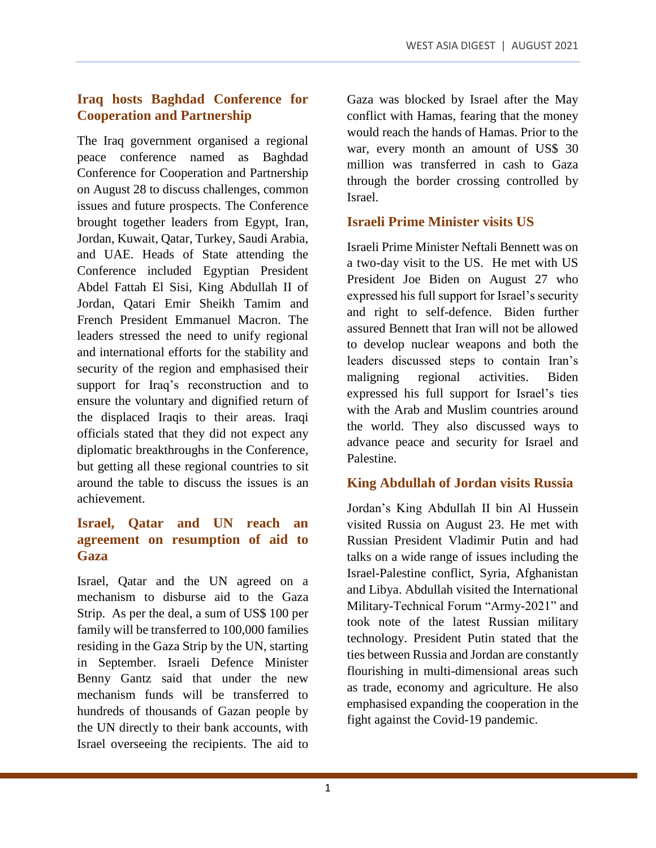#### **Iraq hosts Baghdad Conference for Cooperation and Partnership**

The Iraq government organised a regional peace conference named as Baghdad Conference for Cooperation and Partnership on August 28 to discuss challenges, common issues and future prospects. The Conference brought together leaders from Egypt, Iran, Jordan, Kuwait, Qatar, Turkey, Saudi Arabia, and UAE. Heads of State attending the Conference included Egyptian President Abdel Fattah El Sisi, King Abdullah II of Jordan, Qatari Emir Sheikh Tamim and French President Emmanuel Macron. The leaders stressed the need to unify regional and international efforts for the stability and security of the region and emphasised their support for Iraq's reconstruction and to ensure the voluntary and dignified return of the displaced Iraqis to their areas. Iraqi officials stated that they did not expect any diplomatic breakthroughs in the Conference, but getting all these regional countries to sit around the table to discuss the issues is an achievement.

#### **Israel, Qatar and UN reach an agreement on resumption of aid to Gaza**

Israel, Qatar and the UN agreed on a mechanism to disburse aid to the Gaza Strip. As per the deal, a sum of US\$ 100 per family will be transferred to 100,000 families residing in the Gaza Strip by the UN, starting in September. Israeli Defence Minister Benny Gantz said that under the new mechanism funds will be transferred to hundreds of thousands of Gazan people by the UN directly to their bank accounts, with Israel overseeing the recipients. The aid to

Gaza was blocked by Israel after the May conflict with Hamas, fearing that the money would reach the hands of Hamas. Prior to the war, every month an amount of US\$ 30 million was transferred in cash to Gaza through the border crossing controlled by Israel.

#### **Israeli Prime Minister visits US**

Israeli Prime Minister Neftali Bennett was on a two-day visit to the US. He met with US President Joe Biden on August 27 who expressed his full support for Israel's security and right to self-defence. Biden further assured Bennett that Iran will not be allowed to develop nuclear weapons and both the leaders discussed steps to contain Iran's maligning regional activities. Biden expressed his full support for Israel's ties with the Arab and Muslim countries around the world. They also discussed ways to advance peace and security for Israel and Palestine.

#### **King Abdullah of Jordan visits Russia**

Jordan's King Abdullah II bin Al Hussein visited Russia on August 23. He met with Russian President Vladimir Putin and had talks on a wide range of issues including the Israel-Palestine conflict, Syria, Afghanistan and Libya. Abdullah visited the International Military-Technical Forum "Army-2021" and took note of the latest Russian military technology. President Putin stated that the ties between Russia and Jordan are constantly flourishing in multi-dimensional areas such as trade, economy and agriculture. He also emphasised expanding the cooperation in the fight against the Covid-19 pandemic.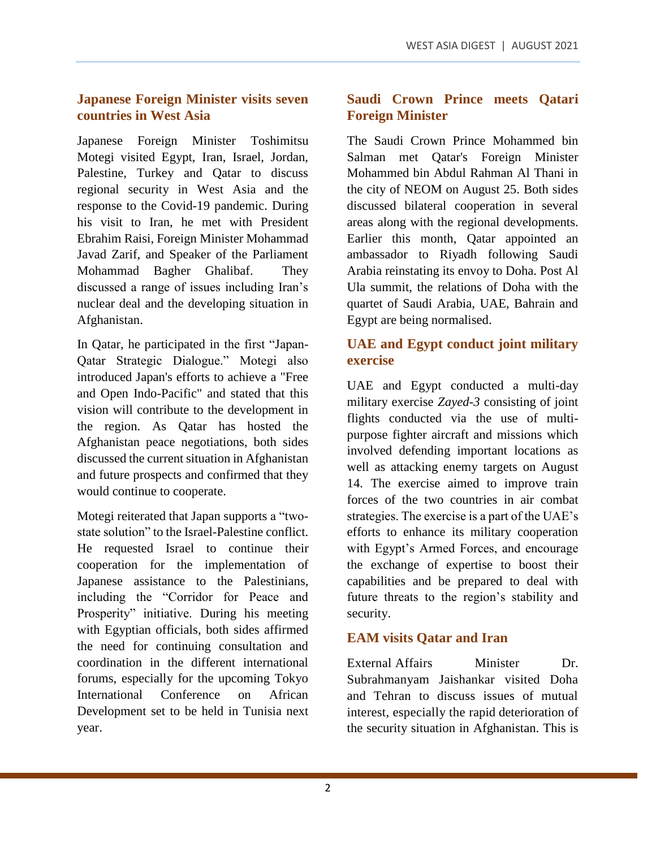#### **Japanese Foreign Minister visits seven countries in West Asia**

Japanese Foreign Minister Toshimitsu Motegi visited Egypt, Iran, Israel, Jordan, Palestine, Turkey and Qatar to discuss regional security in West Asia and the response to the Covid-19 pandemic. During his visit to Iran, he met with President Ebrahim Raisi, Foreign Minister Mohammad Javad Zarif, and Speaker of the Parliament Mohammad Bagher Ghalibaf. They discussed a range of issues including Iran's nuclear deal and the developing situation in Afghanistan.

In Qatar, he participated in the first "Japan-Qatar Strategic Dialogue." Motegi also introduced Japan's efforts to achieve a "Free and Open Indo-Pacific" and stated that this vision will contribute to the development in the region. As Qatar has hosted the Afghanistan peace negotiations, both sides discussed the current situation in Afghanistan and future prospects and confirmed that they would continue to cooperate.

Motegi reiterated that Japan supports a "twostate solution" to the Israel-Palestine conflict. He requested Israel to continue their cooperation for the implementation of Japanese assistance to the Palestinians, including the "Corridor for Peace and Prosperity" initiative. During his meeting with Egyptian officials, both sides affirmed the need for continuing consultation and coordination in the different international forums, especially for the upcoming Tokyo International Conference on African Development set to be held in Tunisia next year.

#### **Saudi Crown Prince meets Qatari Foreign Minister**

The Saudi Crown Prince Mohammed bin Salman met Qatar's Foreign Minister Mohammed bin Abdul Rahman Al Thani in the city of NEOM on August 25. Both sides discussed bilateral cooperation in several areas along with the regional developments. Earlier this month, Qatar appointed an ambassador to Riyadh following Saudi Arabia reinstating its envoy to Doha. Post Al Ula summit, the relations of Doha with the quartet of Saudi Arabia, UAE, Bahrain and Egypt are being normalised.

#### **UAE and Egypt conduct joint military exercise**

UAE and Egypt conducted a multi-day military exercise *Zayed-3* consisting of joint flights conducted via the use of multipurpose fighter aircraft and missions which involved defending important locations as well as attacking enemy targets on August 14. The exercise aimed to improve train forces of the two countries in air combat strategies. The exercise is a part of the UAE's efforts to enhance its military cooperation with Egypt's Armed Forces, and encourage the exchange of expertise to boost their capabilities and be prepared to deal with future threats to the region's stability and security.

### **EAM visits Qatar and Iran**

External Affairs Minister Dr. Subrahmanyam Jaishankar visited Doha and Tehran to discuss issues of mutual interest, especially the rapid deterioration of the security situation in Afghanistan. This is